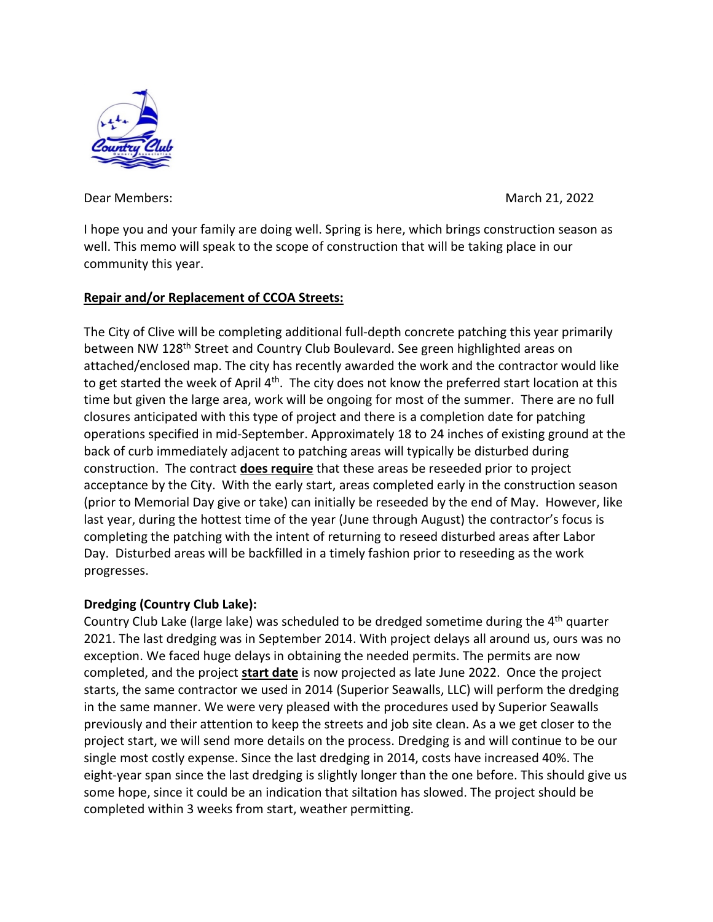

Dear Members: March 21, 2022

I hope you and your family are doing well. Spring is here, which brings construction season as well. This memo will speak to the scope of construction that will be taking place in our community this year.

## **Repair and/or Replacement of CCOA Streets:**

The City of Clive will be completing additional full-depth concrete patching this year primarily between NW 128<sup>th</sup> Street and Country Club Boulevard. See green highlighted areas on attached/enclosed map. The city has recently awarded the work and the contractor would like to get started the week of April  $4<sup>th</sup>$ . The city does not know the preferred start location at this time but given the large area, work will be ongoing for most of the summer. There are no full closures anticipated with this type of project and there is a completion date for patching operations specified in mid-September. Approximately 18 to 24 inches of existing ground at the back of curb immediately adjacent to patching areas will typically be disturbed during construction. The contract **does require** that these areas be reseeded prior to project acceptance by the City. With the early start, areas completed early in the construction season (prior to Memorial Day give or take) can initially be reseeded by the end of May. However, like last year, during the hottest time of the year (June through August) the contractor's focus is completing the patching with the intent of returning to reseed disturbed areas after Labor Day. Disturbed areas will be backfilled in a timely fashion prior to reseeding as the work progresses.

## **Dredging (Country Club Lake):**

Country Club Lake (large lake) was scheduled to be dredged sometime during the  $4<sup>th</sup>$  quarter 2021. The last dredging was in September 2014. With project delays all around us, ours was no exception. We faced huge delays in obtaining the needed permits. The permits are now completed, and the project **start date** is now projected as late June 2022. Once the project starts, the same contractor we used in 2014 (Superior Seawalls, LLC) will perform the dredging in the same manner. We were very pleased with the procedures used by Superior Seawalls previously and their attention to keep the streets and job site clean. As a we get closer to the project start, we will send more details on the process. Dredging is and will continue to be our single most costly expense. Since the last dredging in 2014, costs have increased 40%. The eight-year span since the last dredging is slightly longer than the one before. This should give us some hope, since it could be an indication that siltation has slowed. The project should be completed within 3 weeks from start, weather permitting.